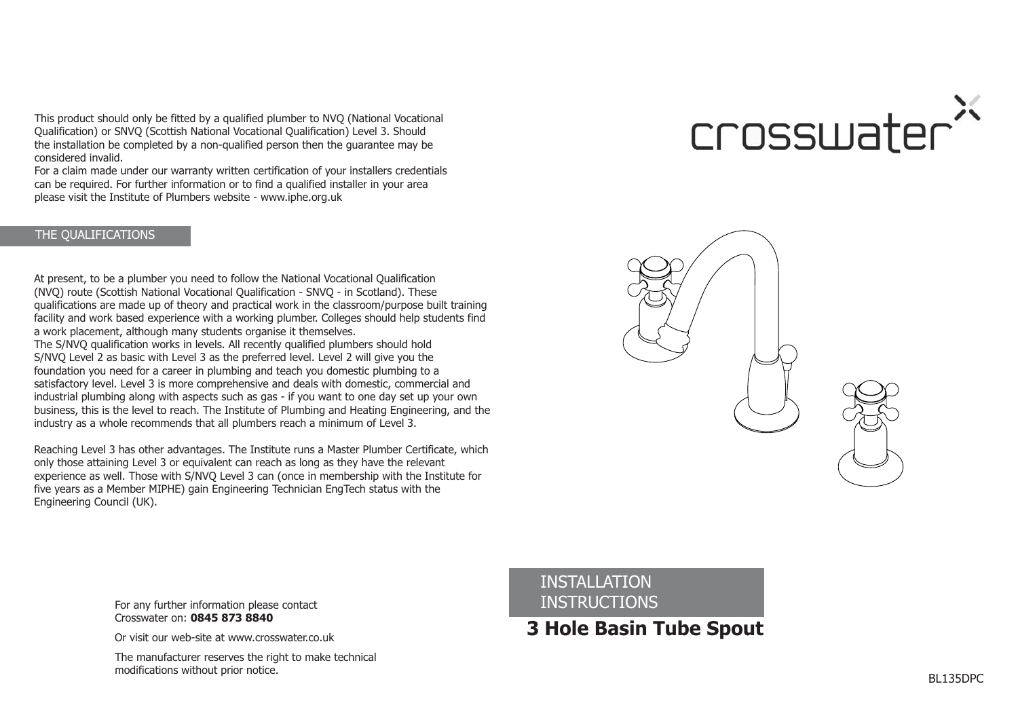This product should only be fitted by <sup>a</sup> qualified plumber to NVQ (National Vocational Qualification) or SNVQ (Scottish National Vocational Qualification) Level 3. Should the installation be completed by <sup>a</sup> non-qualified person then the guarantee may be considered invalid.

For <sup>a</sup> claim made under our warranty written certification of your installers credentials can be required. For further information or to find <sup>a</sup> qualified installer in your area please visit the Institute of Plumbers website - www.iphe.org.uk

## THE QUALIFICATIONS

At present, to be <sup>a</sup> plumber you need to follow the National Vocational Qualification (NVQ) route (Scottish National Vocational Qualification - SNVQ - in Scotland). These qualifications are made up of theory and practical work in the classroom/purpose built training facility and work based experience with <sup>a</sup> working plumber. Colleges should help students find <sup>a</sup> work placement, although many students organise it themselves.

The S/NVQ qualification works in levels. All recently qualified plumbers should hold S/NVQ Level 2 as basic with Level 3 as the preferred level. Level 2 will give you the foundation you need for <sup>a</sup> career in plumbing and teach you domestic plumbing to <sup>a</sup> satisfactory level. Level 3 is more comprehensive and deals with domestic, commercial and industrial plumbing along with aspects such as gas - if you want to one day set up your own business, this is the level to reach. The Institute of Plumbing and Heating Engineering, and the industry as <sup>a</sup> whole recommends that all plumbers reach <sup>a</sup> minimum of Level 3.

Reaching Level 3 has other advantages. The Institute runs <sup>a</sup> Master Plumber Certificate, which only those attaining Level 3 or equivalent can reach as long as they have the relevant experience as well. Those with S/NVQ Level 3 can (once in membership with the Institute for five years as <sup>a</sup> Member MIPHE) gain Engineering Technician EngTech status with the Engineering Council (UK).

# crosswater<sup>®</sup>



For any further information please contact **INSTRUCTIONS** Crosswater on: **0845 873 8840**

Or visit our web-site at www.crosswater.co.uk

The manufacturer reserves the right to make technical modifications without prior notice.

INSTALLATION

# **3 Hole Basin Tube Spout**